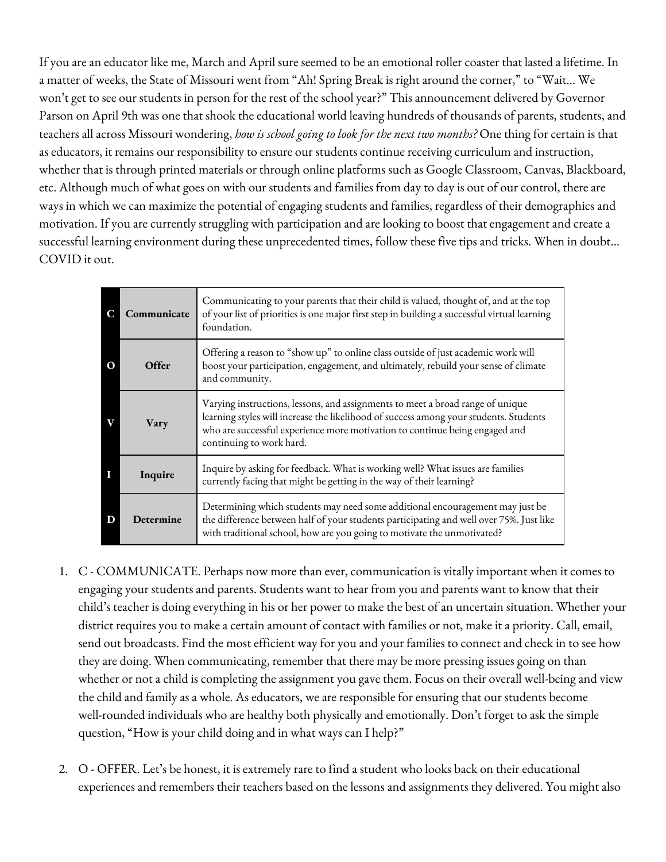If you are an educator like me, March and April sure seemed to be an emotional roller coaster that lasted a lifetime. In a matter of weeks, the State of Missouri went from "Ah! Spring Break is right around the corner," to "Wait… We won't get to see our students in person for the rest of the school year?" This announcement delivered by Governor Parson on April 9th was one that shook the educational world leaving hundreds of thousands of parents, students, and teachers all across Missouri wondering, *how is school going to look for the next two months?* One thing for certain is that as educators, it remains our responsibility to ensure our students continue receiving curriculum and instruction, whether that is through printed materials or through online platforms such as Google Classroom, Canvas, Blackboard, etc. Although much of what goes on with our students and families from day to day is out of our control, there are ways in which we can maximize the potential of engaging students and families, regardless of their demographics and motivation. If you are currently struggling with participation and are looking to boost that engagement and create a successful learning environment during these unprecedented times, follow these five tips and tricks. When in doubt… COVID it out.

|          | Communicate | Communicating to your parents that their child is valued, thought of, and at the top<br>of your list of priorities is one major first step in building a successful virtual learning<br>foundation.                                                                                |
|----------|-------------|------------------------------------------------------------------------------------------------------------------------------------------------------------------------------------------------------------------------------------------------------------------------------------|
| $\Omega$ | Offer       | Offering a reason to "show up" to online class outside of just academic work will<br>boost your participation, engagement, and ultimately, rebuild your sense of climate<br>and community.                                                                                         |
|          | Vary        | Varying instructions, lessons, and assignments to meet a broad range of unique<br>learning styles will increase the likelihood of success among your students. Students<br>who are successful experience more motivation to continue being engaged and<br>continuing to work hard. |
|          | Inquire     | Inquire by asking for feedback. What is working well? What issues are families<br>currently facing that might be getting in the way of their learning?                                                                                                                             |
| D        | Determine   | Determining which students may need some additional encouragement may just be<br>the difference between half of your students participating and well over 75%. Just like<br>with traditional school, how are you going to motivate the unmotivated?                                |

- 1. C COMMUNICATE. Perhaps now more than ever, communication is vitally important when it comes to engaging your students and parents. Students want to hear from you and parents want to know that their child's teacher is doing everything in his or her power to make the best of an uncertain situation. Whether your district requires you to make a certain amount of contact with families or not, make it a priority. Call, email, send out broadcasts. Find the most efficient way for you and your families to connect and check in to see how they are doing. When communicating, remember that there may be more pressing issues going on than whether or not a child is completing the assignment you gave them. Focus on their overall well-being and view the child and family as a whole. As educators, we are responsible for ensuring that our students become well-rounded individuals who are healthy both physically and emotionally. Don't forget to ask the simple question, "How is your child doing and in what ways can I help?"
- 2. O OFFER. Let's be honest, it is extremely rare to find a student who looks back on their educational experiences and remembers their teachers based on the lessons and assignments they delivered. You might also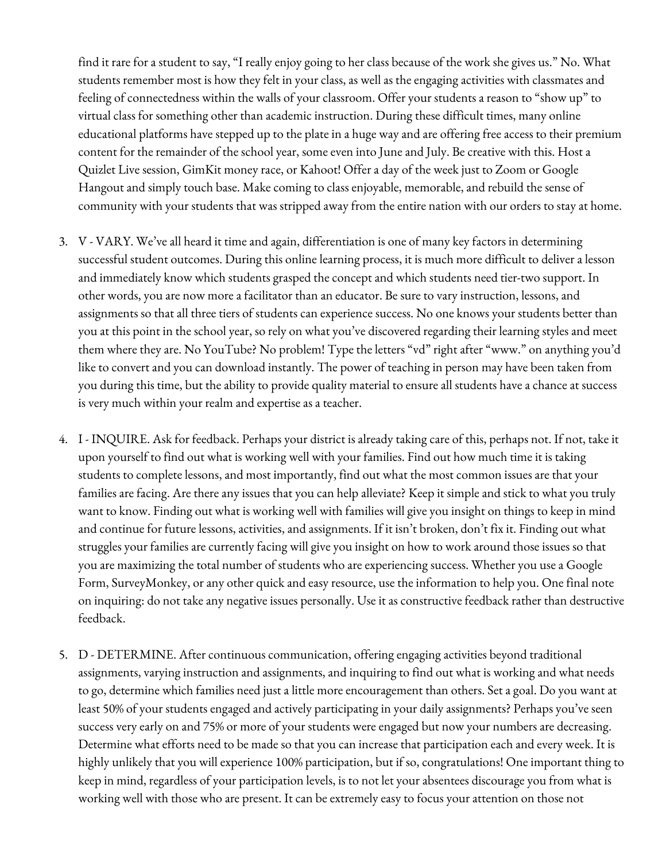find it rare for a student to say, "I really enjoy going to her class because of the work she gives us." No. What students remember most is how they felt in your class, as well as the engaging activities with classmates and feeling of connectedness within the walls of your classroom. Offer your students a reason to "show up" to virtual class for something other than academic instruction. During these difficult times, many online educational platforms have stepped up to the plate in a huge way and are offering free access to their premium content for the remainder of the school year, some even into June and July. Be creative with this. Host a Quizlet Live session, GimKit money race, or Kahoot! Offer a day of the week just to Zoom or Google Hangout and simply touch base. Make coming to class enjoyable, memorable, and rebuild the sense of community with your students that was stripped away from the entire nation with our orders to stay at home.

- 3. V VARY. We've all heard it time and again, differentiation is one of many key factors in determining successful student outcomes. During this online learning process, it is much more difficult to deliver a lesson and immediately know which students grasped the concept and which students need tier-two support. In other words, you are now more a facilitator than an educator. Be sure to vary instruction, lessons, and assignments so that all three tiers of students can experience success. No one knows your students better than you at this point in the school year, so rely on what you've discovered regarding their learning styles and meet them where they are. No YouTube? No problem! Type the letters "vd" right after "www." on anything you'd like to convert and you can download instantly. The power of teaching in person may have been taken from you during this time, but the ability to provide quality material to ensure all students have a chance at success is very much within your realm and expertise as a teacher.
- 4. I INQUIRE. Ask for feedback. Perhaps your district is already taking care of this, perhaps not. If not, take it upon yourself to find out what is working well with your families. Find out how much time it is taking students to complete lessons, and most importantly, find out what the most common issues are that your families are facing. Are there any issues that you can help alleviate? Keep it simple and stick to what you truly want to know. Finding out what is working well with families will give you insight on things to keep in mind and continue for future lessons, activities, and assignments. If it isn't broken, don't fix it. Finding out what struggles your families are currently facing will give you insight on how to work around those issues so that you are maximizing the total number of students who are experiencing success. Whether you use a Google Form, SurveyMonkey, or any other quick and easy resource, use the information to help you. One final note on inquiring: do not take any negative issues personally. Use it as constructive feedback rather than destructive feedback.
- 5. D DETERMINE. After continuous communication, offering engaging activities beyond traditional assignments, varying instruction and assignments, and inquiring to find out what is working and what needs to go, determine which families need just a little more encouragement than others. Set a goal. Do you want at least 50% of your students engaged and actively participating in your daily assignments? Perhaps you've seen success very early on and 75% or more of your students were engaged but now your numbers are decreasing. Determine what efforts need to be made so that you can increase that participation each and every week. It is highly unlikely that you will experience 100% participation, but if so, congratulations! One important thing to keep in mind, regardless of your participation levels, is to not let your absentees discourage you from what is working well with those who are present. It can be extremely easy to focus your attention on those not